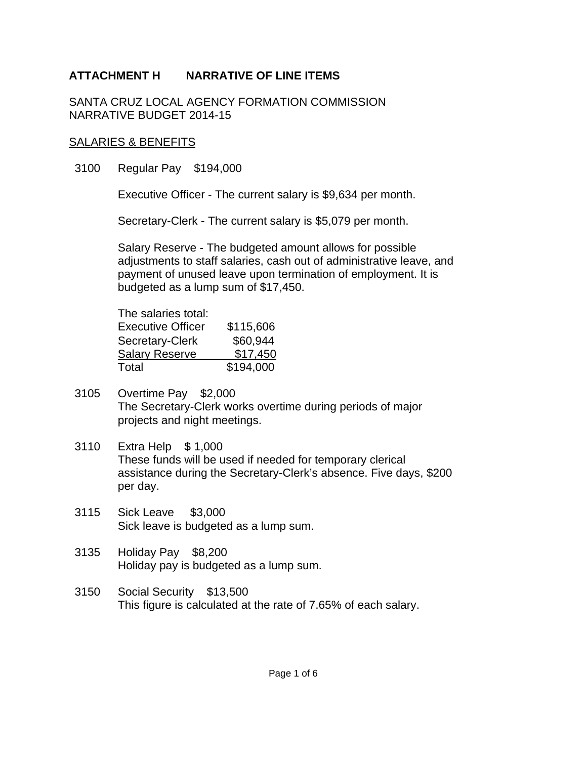SANTA CRUZ LOCAL AGENCY FORMATION COMMISSION NARRATIVE BUDGET 2014-15

#### SALARIES & BENEFITS

3100 Regular Pay \$194,000

Executive Officer - The current salary is \$9,634 per month.

Secretary-Clerk - The current salary is \$5,079 per month.

Salary Reserve - The budgeted amount allows for possible adjustments to staff salaries, cash out of administrative leave, and payment of unused leave upon termination of employment. It is budgeted as a lump sum of \$17,450.

| The salaries total:      |           |
|--------------------------|-----------|
| <b>Executive Officer</b> | \$115,606 |
| Secretary-Clerk          | \$60,944  |
| <b>Salary Reserve</b>    | \$17,450  |
| Total                    | \$194,000 |

- 3105 Overtime Pay \$2,000 The Secretary-Clerk works overtime during periods of major projects and night meetings.
- 3110 Extra Help \$ 1,000 These funds will be used if needed for temporary clerical assistance during the Secretary-Clerk's absence. Five days, \$200 per day.
- 3115 Sick Leave \$3,000 Sick leave is budgeted as a lump sum.
- 3135 Holiday Pay \$8,200 Holiday pay is budgeted as a lump sum.
- 3150 Social Security \$13,500 This figure is calculated at the rate of 7.65% of each salary.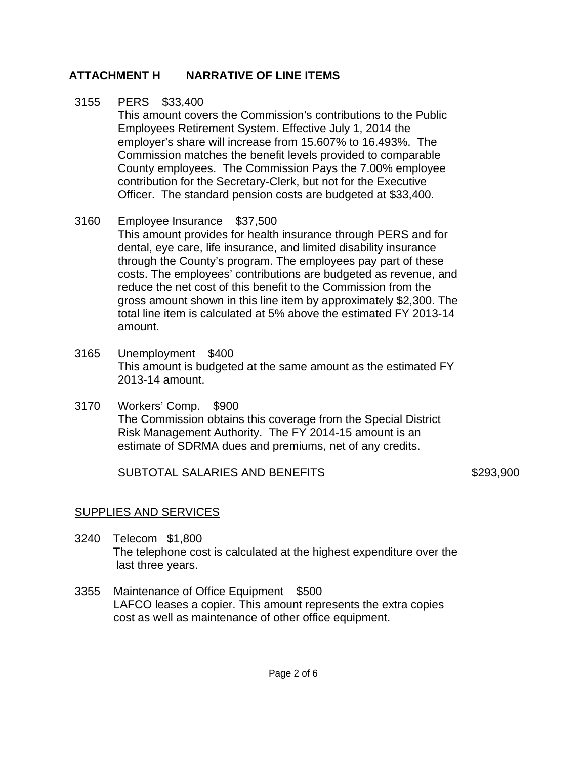#### 3155 PERS \$33,400

This amount covers the Commission's contributions to the Public Employees Retirement System. Effective July 1, 2014 the employer's share will increase from 15.607% to 16.493%. The Commission matches the benefit levels provided to comparable County employees. The Commission Pays the 7.00% employee contribution for the Secretary-Clerk, but not for the Executive Officer. The standard pension costs are budgeted at \$33,400.

### 3160 Employee Insurance \$37,500

This amount provides for health insurance through PERS and for dental, eye care, life insurance, and limited disability insurance through the County's program. The employees pay part of these costs. The employees' contributions are budgeted as revenue, and reduce the net cost of this benefit to the Commission from the gross amount shown in this line item by approximately \$2,300. The total line item is calculated at 5% above the estimated FY 2013-14 amount.

- 3165 Unemployment \$400 This amount is budgeted at the same amount as the estimated FY 2013-14 amount.
- 3170 Workers' Comp. \$900 The Commission obtains this coverage from the Special District Risk Management Authority. The FY 2014-15 amount is an estimate of SDRMA dues and premiums, net of any credits.

SUBTOTAL SALARIES AND BENEFITS \$293,900

### SUPPLIES AND SERVICES

- 3240 Telecom \$1,800 The telephone cost is calculated at the highest expenditure over the last three years.
- 3355 Maintenance of Office Equipment \$500 LAFCO leases a copier. This amount represents the extra copies cost as well as maintenance of other office equipment.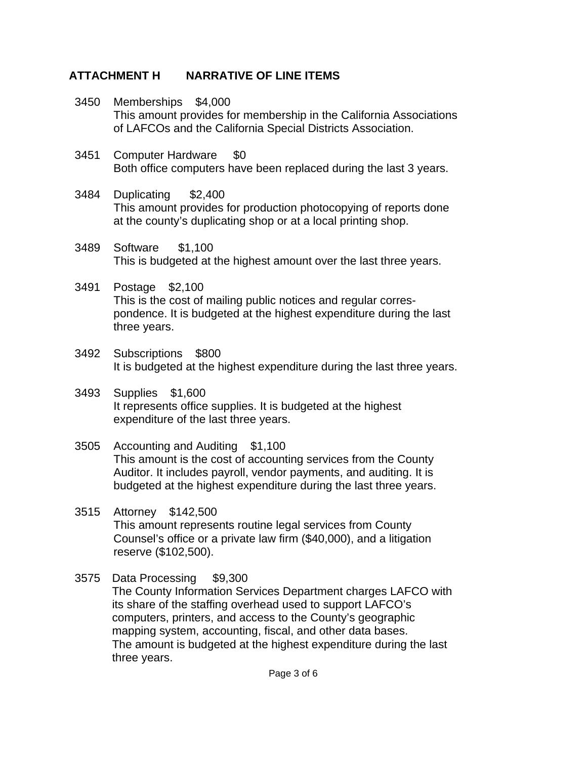- 3450 Memberships \$4,000 This amount provides for membership in the California Associations of LAFCOs and the California Special Districts Association.
- 3451 Computer Hardware \$0 Both office computers have been replaced during the last 3 years.
- 3484 Duplicating \$2,400 This amount provides for production photocopying of reports done at the county's duplicating shop or at a local printing shop.
- 3489 Software \$1,100 This is budgeted at the highest amount over the last three years.
- 3491 Postage \$2,100 This is the cost of mailing public notices and regular correspondence. It is budgeted at the highest expenditure during the last three years.
- 3492 Subscriptions \$800 It is budgeted at the highest expenditure during the last three years.
- 3493 Supplies \$1,600 It represents office supplies. It is budgeted at the highest expenditure of the last three years.
- 3505 Accounting and Auditing \$1,100 This amount is the cost of accounting services from the County Auditor. It includes payroll, vendor payments, and auditing. It is budgeted at the highest expenditure during the last three years.
- 3515 Attorney \$142,500 This amount represents routine legal services from County Counsel's office or a private law firm (\$40,000), and a litigation reserve (\$102,500).
- 3575 Data Processing \$9,300 The County Information Services Department charges LAFCO with its share of the staffing overhead used to support LAFCO's computers, printers, and access to the County's geographic mapping system, accounting, fiscal, and other data bases. The amount is budgeted at the highest expenditure during the last three years.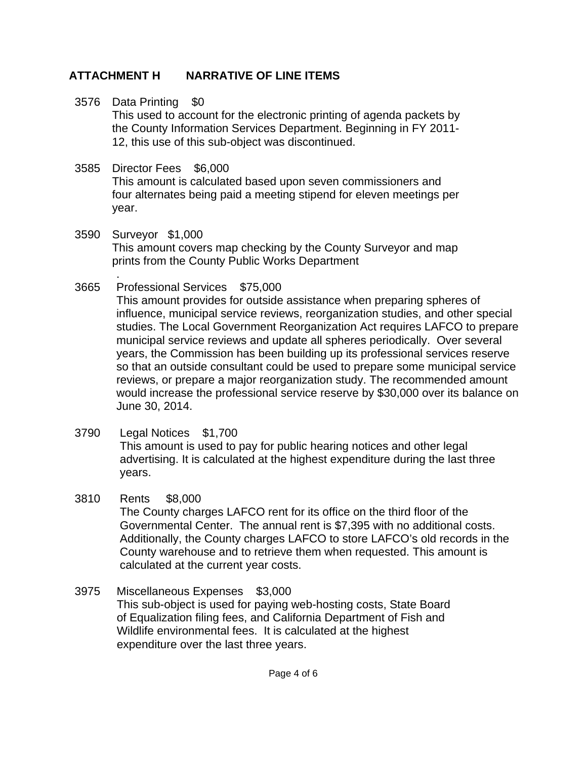- 3576 Data Printing \$0 This used to account for the electronic printing of agenda packets by the County Information Services Department. Beginning in FY 2011- 12, this use of this sub-object was discontinued.
- 3585 Director Fees \$6,000 This amount is calculated based upon seven commissioners and four alternates being paid a meeting stipend for eleven meetings per year.
- 3590 Surveyor \$1,000 This amount covers map checking by the County Surveyor and map prints from the County Public Works Department
- 3665 . Professional Services \$75,000

This amount provides for outside assistance when preparing spheres of influence, municipal service reviews, reorganization studies, and other special studies. The Local Government Reorganization Act requires LAFCO to prepare municipal service reviews and update all spheres periodically. Over several years, the Commission has been building up its professional services reserve so that an outside consultant could be used to prepare some municipal service reviews, or prepare a major reorganization study. The recommended amount would increase the professional service reserve by \$30,000 over its balance on June 30, 2014.

- 3790 Legal Notices \$1,700 This amount is used to pay for public hearing notices and other legal advertising. It is calculated at the highest expenditure during the last three years.
- 3810 Rents \$8,000 The County charges LAFCO rent for its office on the third floor of the Governmental Center. The annual rent is \$7,395 with no additional costs. Additionally, the County charges LAFCO to store LAFCO's old records in the County warehouse and to retrieve them when requested. This amount is calculated at the current year costs.
- 3975 Miscellaneous Expenses \$3,000 This sub-object is used for paying web-hosting costs, State Board of Equalization filing fees, and California Department of Fish and Wildlife environmental fees. It is calculated at the highest expenditure over the last three years.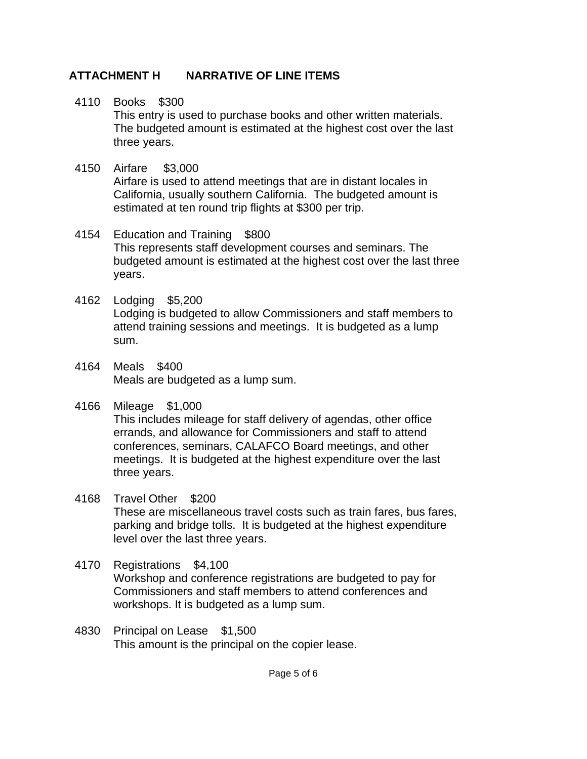### 4110 Books \$300

This entry is used to purchase books and other written materials. The budgeted amount is estimated at the highest cost over the last three years.

## 4150 Airfare \$3,000

Airfare is used to attend meetings that are in distant locales in California, usually southern California. The budgeted amount is estimated at ten round trip flights at \$300 per trip.

#### 4154 Education and Training \$800 This represents staff development courses and seminars. The budgeted amount is estimated at the highest cost over the last three years.

- 4162 Lodging \$5,200 Lodging is budgeted to allow Commissioners and staff members to attend training sessions and meetings. It is budgeted as a lump sum.
- 4164 Meals \$400 Meals are budgeted as a lump sum.

#### 4166 Mileage \$1,000 This includes mileage for staff delivery of agendas, other office errands, and allowance for Commissioners and staff to attend conferences, seminars, CALAFCO Board meetings, and other meetings. It is budgeted at the highest expenditure over the last three years.

### 4168 Travel Other \$200 These are miscellaneous travel costs such as train fares, bus fares, parking and bridge tolls. It is budgeted at the highest expenditure level over the last three years.

#### 4170 Registrations \$4,100 Workshop and conference registrations are budgeted to pay for Commissioners and staff members to attend conferences and workshops. It is budgeted as a lump sum.

4830 Principal on Lease \$1,500 This amount is the principal on the copier lease.